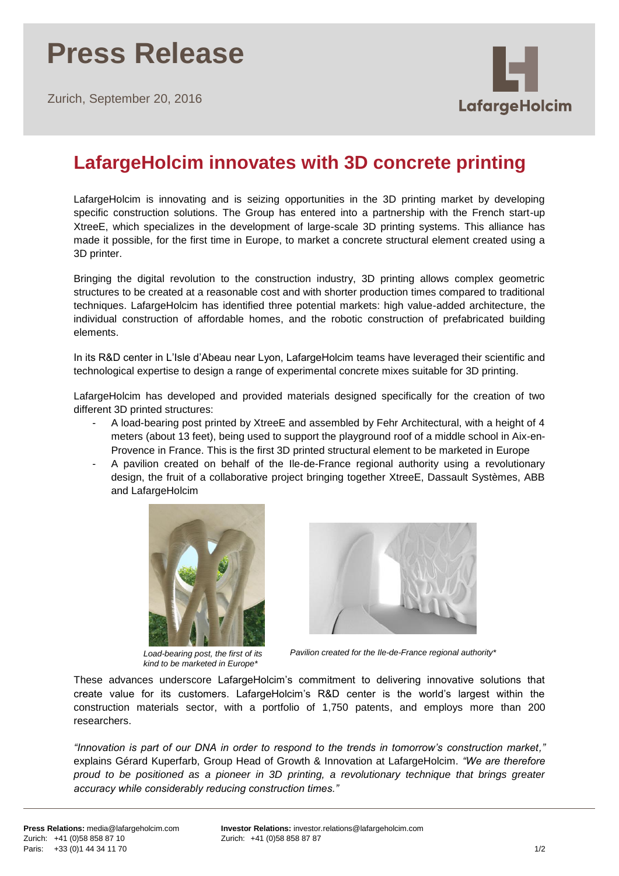Zurich, September 20, 2016



## **LafargeHolcim innovates with 3D concrete printing**

LafargeHolcim is innovating and is seizing opportunities in the 3D printing market by developing specific construction solutions. The Group has entered into a partnership with the French start-up XtreeE, which specializes in the development of large-scale 3D printing systems. This alliance has made it possible, for the first time in Europe, to market a concrete structural element created using a 3D printer.

Bringing the digital revolution to the construction industry, 3D printing allows complex geometric structures to be created at a reasonable cost and with shorter production times compared to traditional techniques. LafargeHolcim has identified three potential markets: high value-added architecture, the individual construction of affordable homes, and the robotic construction of prefabricated building elements.

In its R&D center in L'Isle d'Abeau near Lyon, LafargeHolcim teams have leveraged their scientific and technological expertise to design a range of experimental concrete mixes suitable for 3D printing.

LafargeHolcim has developed and provided materials designed specifically for the creation of two different 3D printed structures:

- A load-bearing post printed by XtreeE and assembled by Fehr Architectural, with a height of 4 meters (about 13 feet), being used to support the playground roof of a middle school in Aix-en-Provence in France. This is the first 3D printed structural element to be marketed in Europe
- A pavilion created on behalf of the Ile-de-France regional authority using a revolutionary design, the fruit of a collaborative project bringing together XtreeE, Dassault Systèmes, ABB and LafargeHolcim



*Load-bearing post, the first of its kind to be marketed in Europe\**



*Pavilion created for the Ile-de-France regional authority\**

These advances underscore LafargeHolcim's commitment to delivering innovative solutions that create value for its customers. LafargeHolcim's R&D center is the world's largest within the construction materials sector, with a portfolio of 1,750 patents, and employs more than 200 researchers.

*"Innovation is part of our DNA in order to respond to the trends in tomorrow's construction market,"* explains Gérard Kuperfarb, Group Head of Growth & Innovation at LafargeHolcim. *"We are therefore proud to be positioned as a pioneer in 3D printing, a revolutionary technique that brings greater accuracy while considerably reducing construction times."*